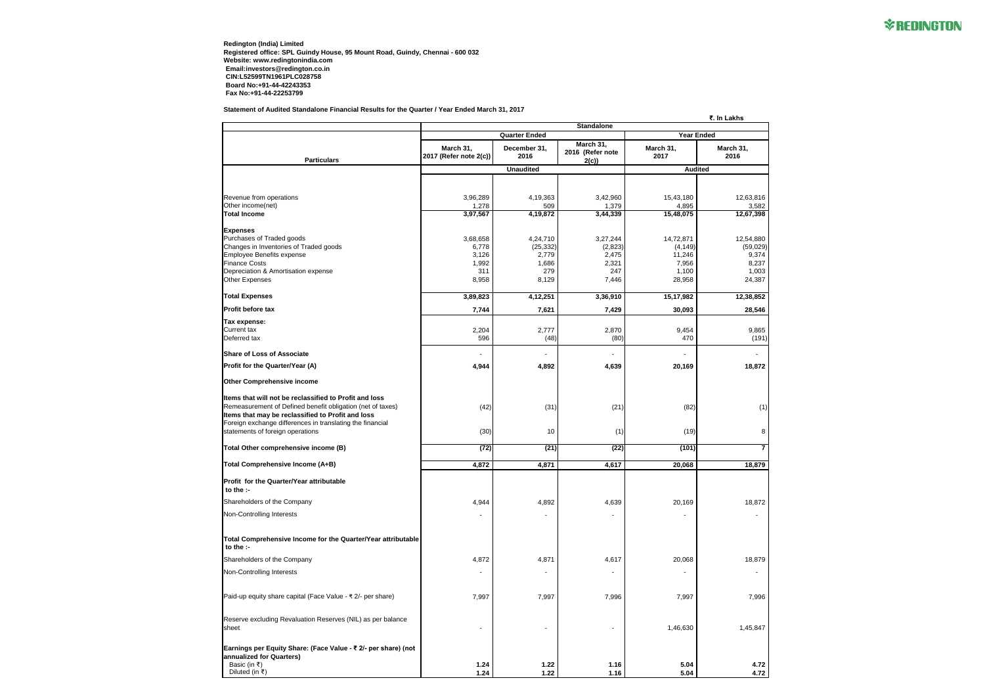**Redington (India) Limited Registered office: SPL Guindy House, 95 Mount Road, Guindy, Chennai - 600 032 Website: www.redingtonindia.com Email:investors@redington.co.in CIN:L52599TN1961PLC028758 Board No:+91-44-42243353 Fax No:+91-44-22253799**

**Statement of Audited Standalone Financial Results for the Quarter / Year Ended March 31, 2017**



|                                                                                                                                                                           | ₹. In Lakhs                                                    |                      |                                       |                   |                   |  |  |
|---------------------------------------------------------------------------------------------------------------------------------------------------------------------------|----------------------------------------------------------------|----------------------|---------------------------------------|-------------------|-------------------|--|--|
|                                                                                                                                                                           | <b>Standalone</b><br><b>Year Ended</b><br><b>Quarter Ended</b> |                      |                                       |                   |                   |  |  |
| <b>Particulars</b>                                                                                                                                                        | March 31,<br>2017 (Refer note 2(c))                            | December 31,<br>2016 | March 31,<br>2016 (Refer note<br>2(c) | March 31,<br>2017 | March 31,<br>2016 |  |  |
|                                                                                                                                                                           |                                                                | <b>Unaudited</b>     |                                       | <b>Audited</b>    |                   |  |  |
| Revenue from operations                                                                                                                                                   | 3,96,289                                                       | 4,19,363             | 3,42,960                              | 15,43,180         | 12,63,816         |  |  |
| Other income(net)                                                                                                                                                         | 1,278                                                          | 509                  | 1,379                                 | 4,895             | 3,582             |  |  |
| <b>Total Income</b>                                                                                                                                                       | 3,97,567                                                       | 4,19,872             | 3,44,339                              | 15,48,075         | 12,67,398         |  |  |
| <b>Expenses</b><br>Purchases of Traded goods                                                                                                                              | 3,68,658                                                       | 4,24,710             | 3,27,244                              | 14,72,871         | 12,54,880         |  |  |
| Changes in Inventories of Traded goods                                                                                                                                    | 6,778                                                          | (25, 332)            | (2,823)                               | (4, 149)          | (59, 029)         |  |  |
| <b>Employee Benefits expense</b>                                                                                                                                          | 3,126                                                          | 2,779                | 2,475                                 | 11,246            | 9,374             |  |  |
| <b>Finance Costs</b>                                                                                                                                                      | 1,992                                                          | 1,686                | 2,321                                 | 7,956             | 8,237             |  |  |
| Depreciation & Amortisation expense<br><b>Other Expenses</b>                                                                                                              | 311<br>8,958                                                   | 279<br>8,129         | 247<br>7,446                          | 1,100<br>28,958   | 1,003<br>24,387   |  |  |
| <b>Total Expenses</b>                                                                                                                                                     | 3,89,823                                                       | 4,12,251             | 3,36,910                              | 15,17,982         | 12,38,852         |  |  |
| <b>Profit before tax</b>                                                                                                                                                  | 7,744                                                          | 7,621                | 7,429                                 | 30,093            | 28,546            |  |  |
| Tax expense:                                                                                                                                                              |                                                                |                      |                                       |                   |                   |  |  |
| <b>Current tax</b>                                                                                                                                                        | 2,204                                                          | 2,777                | 2,870                                 | 9,454             | 9,865             |  |  |
| Deferred tax                                                                                                                                                              | 596                                                            | (48)                 | (80)                                  | 470               | (191)             |  |  |
| Share of Loss of Associate                                                                                                                                                |                                                                |                      |                                       |                   |                   |  |  |
| Profit for the Quarter/Year (A)                                                                                                                                           | 4,944                                                          | 4,892                | 4,639                                 | 20,169            | 18,872            |  |  |
| <b>Other Comprehensive income</b>                                                                                                                                         |                                                                |                      |                                       |                   |                   |  |  |
| Items that will not be reclassified to Profit and loss<br>Remeasurement of Defined benefit obligation (net of taxes)<br>Items that may be reclassified to Profit and loss | (42)                                                           | (31)                 | (21)                                  | (82)              | (1)               |  |  |
| Foreign exchange differences in translating the financial<br>statements of foreign operations                                                                             | (30)                                                           | 10                   | (1)                                   | (19)              | 8                 |  |  |
| Total Other comprehensive income (B)                                                                                                                                      | (72)                                                           | (21)                 | (22)                                  | (101)             | $\overline{7}$    |  |  |
| Total Comprehensive Income (A+B)                                                                                                                                          | 4,872                                                          | 4,871                | 4,617                                 | 20,068            | 18,879            |  |  |
| <b>Profit for the Quarter/Year attributable</b><br>to the :-                                                                                                              |                                                                |                      |                                       |                   |                   |  |  |
| Shareholders of the Company                                                                                                                                               | 4,944                                                          | 4,892                | 4,639                                 | 20,169            | 18,872            |  |  |
| Non-Controlling Interests                                                                                                                                                 |                                                                |                      |                                       |                   |                   |  |  |
| Total Comprehensive Income for the Quarter/Year attributable<br>to the $:$                                                                                                |                                                                |                      |                                       |                   |                   |  |  |
| Shareholders of the Company                                                                                                                                               | 4,872                                                          | 4,871                | 4,617                                 | 20,068            | 18,879            |  |  |
| Non-Controlling Interests                                                                                                                                                 |                                                                |                      |                                       |                   |                   |  |  |
| Paid-up equity share capital (Face Value - ₹ 2/- per share)                                                                                                               | 7,997                                                          | 7,997                | 7,996                                 | 7,997             | 7,996             |  |  |
| Reserve excluding Revaluation Reserves (NIL) as per balance<br>sheet                                                                                                      | $\blacksquare$                                                 |                      | $\blacksquare$                        | 1,46,630          | 1,45,847          |  |  |
| Earnings per Equity Share: (Face Value - ₹ 2/- per share) (not<br>annualized for Quarters)                                                                                |                                                                |                      |                                       |                   |                   |  |  |
| Basic (in ₹)                                                                                                                                                              | 1.24                                                           | 1.22                 | 1.16                                  | 5.04              | 4.72              |  |  |
| Diluted (in ₹)                                                                                                                                                            | 1.24                                                           | 1.22                 | 1.16                                  | 5.04              | 4.72              |  |  |

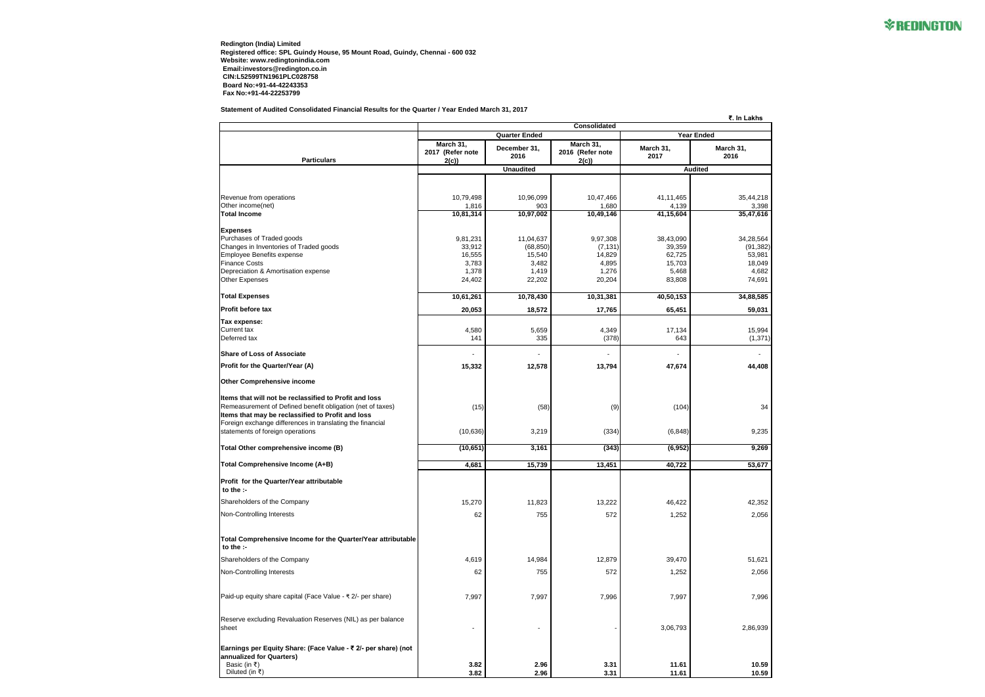**Redington (India) Limited Registered office: SPL Guindy House, 95 Mount Road, Guindy, Chennai - 600 032 Website: www.redingtonindia.com Email:investors@redington.co.in CIN:L52599TN1961PLC028758 Board No:+91-44-42243353 Fax No:+91-44-22253799**

**Statement of Audited Consolidated Financial Results for the Quarter / Year Ended March 31, 2017**



| <u>(hs</u>        |
|-------------------|
|                   |
|                   |
|                   |
|                   |
|                   |
| ,218<br>3,398     |
| $\overline{6}$ 16 |
|                   |
| 3,564<br>,382)    |
| 3,981<br>3,049    |
| ,682              |
| 1,691             |
| 3,585             |
| 031,              |
| 5,994             |
| ,371)             |
|                   |
| l,408             |
|                   |
| 34                |
|                   |
| ,235              |
| ),269             |
| $\frac{3,677}{5}$ |
|                   |
|                   |
| 2,352             |
| 2,056             |
|                   |
|                   |
| ,621              |
| 2,056             |
|                   |
| ,996              |
|                   |
| 5,939             |
|                   |

|                                                                                                                |                               |                        | र. III Lakiis                 |                     |                        |  |
|----------------------------------------------------------------------------------------------------------------|-------------------------------|------------------------|-------------------------------|---------------------|------------------------|--|
|                                                                                                                | <b>Quarter Ended</b>          |                        |                               | <b>Year Ended</b>   |                        |  |
|                                                                                                                | March 31,<br>2017 (Refer note | December 31,<br>2016   | March 31,<br>2016 (Refer note | March 31,<br>2017   | March 31,<br>2016      |  |
| <b>Particulars</b>                                                                                             | 2(c)                          | <b>Unaudited</b>       | 2(c)                          |                     |                        |  |
|                                                                                                                |                               |                        |                               | <b>Audited</b>      |                        |  |
| Revenue from operations                                                                                        | 10,79,498                     | 10,96,099              | 10,47,466                     | 41,11,465           | 35,44,218              |  |
| Other income(net)                                                                                              | 1,816                         | 903                    | 1,680                         | 4,139               | 3,398                  |  |
| <b>Total Income</b>                                                                                            | 10,81,314                     | 10,97,002              | 10,49,146                     | 41,15,604           | 35,47,616              |  |
| <b>Expenses</b>                                                                                                |                               |                        |                               |                     |                        |  |
| Purchases of Traded goods<br>Changes in Inventories of Traded goods                                            | 9,81,231<br>33,912            | 11,04,637<br>(68, 850) | 9,97,308<br>(7, 131)          | 38,43,090<br>39,359 | 34,28,564<br>(91, 382) |  |
| Employee Benefits expense                                                                                      | 16,555                        | 15,540                 | 14,829                        | 62,725              | 53,981                 |  |
| <b>Finance Costs</b>                                                                                           | 3,783                         | 3,482                  | 4,895                         | 15,703              | 18,049                 |  |
| Depreciation & Amortisation expense                                                                            | 1,378                         | 1,419                  | 1,276                         | 5,468               | 4,682                  |  |
| <b>Other Expenses</b>                                                                                          | 24,402                        | 22,202                 | 20,204                        | 83,808              | 74,691                 |  |
| <b>Total Expenses</b>                                                                                          | 10,61,261                     | 10,78,430              | 10,31,381                     | 40,50,153           | 34,88,585              |  |
| <b>Profit before tax</b>                                                                                       | 20,053                        | 18,572                 | 17,765                        | 65,451              | 59,031                 |  |
| Tax expense:                                                                                                   |                               |                        |                               |                     |                        |  |
| Current tax<br>Deferred tax                                                                                    | 4,580<br>141                  | 5,659<br>335           | 4,349<br>(378)                | 17,134<br>643       | 15,994<br>(1, 371)     |  |
|                                                                                                                |                               |                        |                               |                     |                        |  |
| <b>Share of Loss of Associate</b>                                                                              | ۰                             |                        |                               |                     |                        |  |
| Profit for the Quarter/Year (A)                                                                                | 15,332                        | 12,578                 | 13,794                        | 47,674              | 44,408                 |  |
| <b>Other Comprehensive income</b>                                                                              |                               |                        |                               |                     |                        |  |
| Items that will not be reclassified to Profit and loss                                                         |                               |                        |                               |                     |                        |  |
| Remeasurement of Defined benefit obligation (net of taxes)                                                     | (15)                          | (58)                   | (9)                           | (104)               | 34                     |  |
| Items that may be reclassified to Profit and loss<br>Foreign exchange differences in translating the financial |                               |                        |                               |                     |                        |  |
| statements of foreign operations                                                                               | (10, 636)                     | 3,219                  | (334)                         | (6, 848)            | 9,235                  |  |
| Total Other comprehensive income (B)                                                                           | (10, 651)                     | 3,161                  | (343)                         | (6, 952)            | 9,269                  |  |
| Total Comprehensive Income (A+B)                                                                               |                               |                        |                               |                     |                        |  |
|                                                                                                                | 4,681                         | 15,739                 | 13,451                        | 40,722              | 53,677                 |  |
| <b>Profit for the Quarter/Year attributable</b><br>το τηe :-                                                   |                               |                        |                               |                     |                        |  |
| Shareholders of the Company                                                                                    | 15,270                        | 11,823                 | 13,222                        | 46,422              | 42,352                 |  |
| Non-Controlling Interests                                                                                      | 62                            | 755                    | 572                           | 1,252               | 2,056                  |  |
|                                                                                                                |                               |                        |                               |                     |                        |  |
| Total Comprehensive Income for the Quarter/Year attributable<br>to the $:$                                     |                               |                        |                               |                     |                        |  |
| Shareholders of the Company                                                                                    | 4,619                         | 14,984                 | 12,879                        | 39,470              | 51,621                 |  |
| Non-Controlling Interests                                                                                      | 62                            | 755                    | 572                           | 1,252               | 2,056                  |  |
|                                                                                                                |                               |                        |                               |                     |                        |  |
| Paid-up equity share capital (Face Value - ₹ 2/- per share)                                                    | 7,997                         | 7,997                  | 7,996                         | 7,997               | 7,996                  |  |
| Reserve excluding Revaluation Reserves (NIL) as per balance                                                    |                               |                        |                               |                     |                        |  |
| sheet                                                                                                          |                               |                        |                               | 3,06,793            | 2,86,939               |  |
| Earnings per Equity Share: (Face Value - ₹ 2/- per share) (not                                                 |                               |                        |                               |                     |                        |  |
| annualized for Quarters)                                                                                       |                               |                        |                               |                     |                        |  |
| Basic (in ₹)                                                                                                   | 3.82                          | 2.96                   | 3.31                          | 11.61               | 10.59                  |  |
| Diluted (in ₹)                                                                                                 | 3.82                          | 2.96                   | 3.31                          | 11.61               | 10.59                  |  |